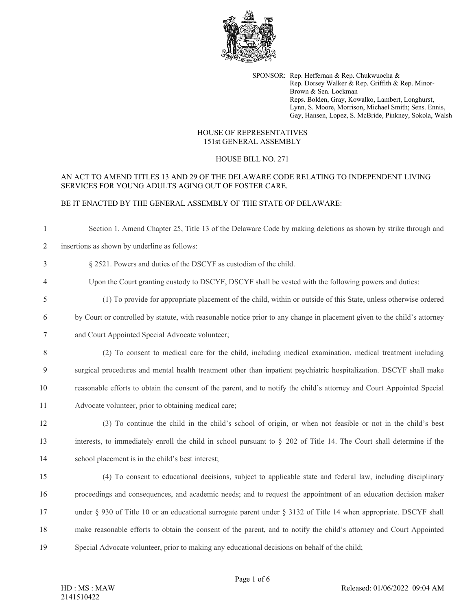

SPONSOR: Rep. Heffernan & Rep. Chukwuocha & Rep. Dorsey Walker & Rep. Griffith & Rep. Minor-Brown & Sen. Lockman Reps. Bolden, Gray, Kowalko, Lambert, Longhurst, Lynn, S. Moore, Morrison, Michael Smith; Sens. Ennis, Gay, Hansen, Lopez, S. McBride, Pinkney, Sokola, Walsh

#### HOUSE OF REPRESENTATIVES 151st GENERAL ASSEMBLY

## HOUSE BILL NO. 271

## AN ACT TO AMEND TITLES 13 AND 29 OF THE DELAWARE CODE RELATING TO INDEPENDENT LIVING SERVICES FOR YOUNG ADULTS AGING OUT OF FOSTER CARE.

# BE IT ENACTED BY THE GENERAL ASSEMBLY OF THE STATE OF DELAWARE:

| $\mathbf{1}$   | Section 1. Amend Chapter 25, Title 13 of the Delaware Code by making deletions as shown by strike through and            |
|----------------|--------------------------------------------------------------------------------------------------------------------------|
| $\overline{c}$ | insertions as shown by underline as follows:                                                                             |
| 3              | § 2521. Powers and duties of the DSCYF as custodian of the child.                                                        |
| 4              | Upon the Court granting custody to DSCYF, DSCYF shall be vested with the following powers and duties:                    |
| 5              | (1) To provide for appropriate placement of the child, within or outside of this State, unless otherwise ordered         |
| 6              | by Court or controlled by statute, with reasonable notice prior to any change in placement given to the child's attorney |
| 7              | and Court Appointed Special Advocate volunteer;                                                                          |
| 8              | (2) To consent to medical care for the child, including medical examination, medical treatment including                 |
| 9              | surgical procedures and mental health treatment other than inpatient psychiatric hospitalization. DSCYF shall make       |
| 10             | reasonable efforts to obtain the consent of the parent, and to notify the child's attorney and Court Appointed Special   |
| 11             | Advocate volunteer, prior to obtaining medical care;                                                                     |
| 12             | (3) To continue the child in the child's school of origin, or when not feasible or not in the child's best               |
| 13             | interests, to immediately enroll the child in school pursuant to § 202 of Title 14. The Court shall determine if the     |
| 14             | school placement is in the child's best interest;                                                                        |
| 15             | (4) To consent to educational decisions, subject to applicable state and federal law, including disciplinary             |
| 16             | proceedings and consequences, and academic needs; and to request the appointment of an education decision maker          |
| 17             | under § 930 of Title 10 or an educational surrogate parent under § 3132 of Title 14 when appropriate. DSCYF shall        |
| 18             | make reasonable efforts to obtain the consent of the parent, and to notify the child's attorney and Court Appointed      |
| 19             | Special Advocate volunteer, prior to making any educational decisions on behalf of the child;                            |
|                |                                                                                                                          |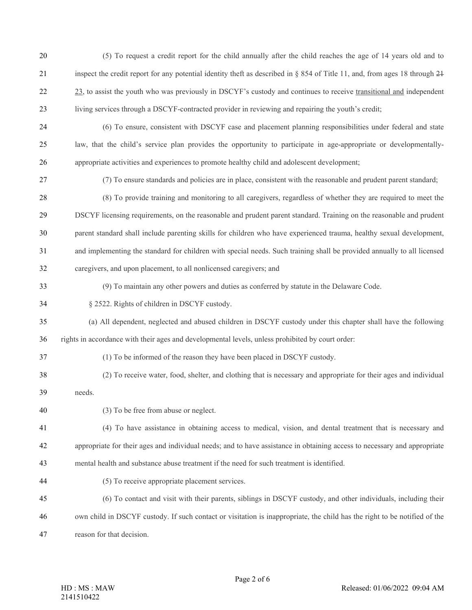| 20 | (5) To request a credit report for the child annually after the child reaches the age of 14 years old and to                      |
|----|-----------------------------------------------------------------------------------------------------------------------------------|
| 21 | inspect the credit report for any potential identity theft as described in $\S$ 854 of Title 11, and, from ages 18 through $2\pm$ |
| 22 | 23, to assist the youth who was previously in DSCYF's custody and continues to receive transitional and independent               |
| 23 | living services through a DSCYF-contracted provider in reviewing and repairing the youth's credit;                                |
| 24 | (6) To ensure, consistent with DSCYF case and placement planning responsibilities under federal and state                         |
| 25 | law, that the child's service plan provides the opportunity to participate in age-appropriate or developmentally-                 |
| 26 | appropriate activities and experiences to promote healthy child and adolescent development;                                       |
| 27 | (7) To ensure standards and policies are in place, consistent with the reasonable and prudent parent standard;                    |
| 28 | (8) To provide training and monitoring to all caregivers, regardless of whether they are required to meet the                     |
| 29 | DSCYF licensing requirements, on the reasonable and prudent parent standard. Training on the reasonable and prudent               |
| 30 | parent standard shall include parenting skills for children who have experienced trauma, healthy sexual development,              |
| 31 | and implementing the standard for children with special needs. Such training shall be provided annually to all licensed           |
| 32 | caregivers, and upon placement, to all nonlicensed caregivers; and                                                                |
| 33 | (9) To maintain any other powers and duties as conferred by statute in the Delaware Code.                                         |
| 34 | § 2522. Rights of children in DSCYF custody.                                                                                      |
| 35 | (a) All dependent, neglected and abused children in DSCYF custody under this chapter shall have the following                     |
| 36 | rights in accordance with their ages and developmental levels, unless prohibited by court order:                                  |
| 37 | (1) To be informed of the reason they have been placed in DSCYF custody.                                                          |
| 38 | (2) To receive water, food, shelter, and clothing that is necessary and appropriate for their ages and individual                 |
| 39 | needs.                                                                                                                            |
| 40 | (3) To be free from abuse or neglect.                                                                                             |
| 41 | (4) To have assistance in obtaining access to medical, vision, and dental treatment that is necessary and                         |
| 42 | appropriate for their ages and individual needs; and to have assistance in obtaining access to necessary and appropriate          |
| 43 | mental health and substance abuse treatment if the need for such treatment is identified.                                         |
| 44 | (5) To receive appropriate placement services.                                                                                    |
| 45 | (6) To contact and visit with their parents, siblings in DSCYF custody, and other individuals, including their                    |
| 46 | own child in DSCYF custody. If such contact or visitation is inappropriate, the child has the right to be notified of the         |
| 47 | reason for that decision.                                                                                                         |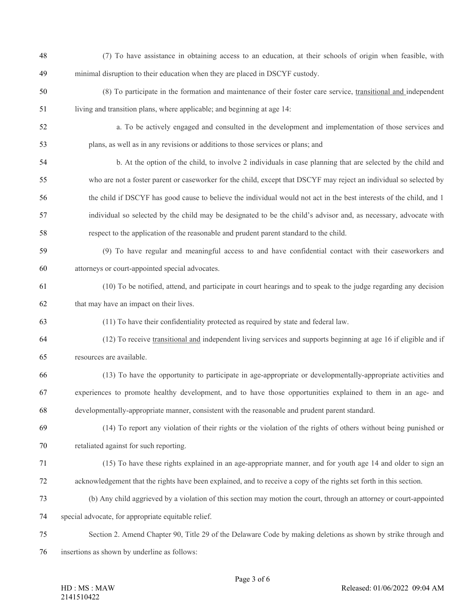- (7) To have assistance in obtaining access to an education, at their schools of origin when feasible, with minimal disruption to their education when they are placed in DSCYF custody.
- (8) To participate in the formation and maintenance of their foster care service, transitional and independent living and transition plans, where applicable; and beginning at age 14:
- a. To be actively engaged and consulted in the development and implementation of those services and
- plans, as well as in any revisions or additions to those services or plans; and
- b. At the option of the child, to involve 2 individuals in case planning that are selected by the child and who are not a foster parent or caseworker for the child, except that DSCYF may reject an individual so selected by the child if DSCYF has good cause to believe the individual would not act in the best interests of the child, and 1 individual so selected by the child may be designated to be the child's advisor and, as necessary, advocate with respect to the application of the reasonable and prudent parent standard to the child.
- (9) To have regular and meaningful access to and have confidential contact with their caseworkers and attorneys or court-appointed special advocates.
- (10) To be notified, attend, and participate in court hearings and to speak to the judge regarding any decision that may have an impact on their lives.
- (11) To have their confidentiality protected as required by state and federal law.
- (12) To receive transitional and independent living services and supports beginning at age 16 if eligible and if resources are available.
- (13) To have the opportunity to participate in age-appropriate or developmentally-appropriate activities and experiences to promote healthy development, and to have those opportunities explained to them in an age- and developmentally-appropriate manner, consistent with the reasonable and prudent parent standard.
- (14) To report any violation of their rights or the violation of the rights of others without being punished or retaliated against for such reporting.
- (15) To have these rights explained in an age-appropriate manner, and for youth age 14 and older to sign an acknowledgement that the rights have been explained, and to receive a copy of the rights set forth in this section.
- (b) Any child aggrieved by a violation of this section may motion the court, through an attorney or court-appointed
- special advocate, for appropriate equitable relief.
- Section 2. Amend Chapter 90, Title 29 of the Delaware Code by making deletions as shown by strike through and
- insertions as shown by underline as follows: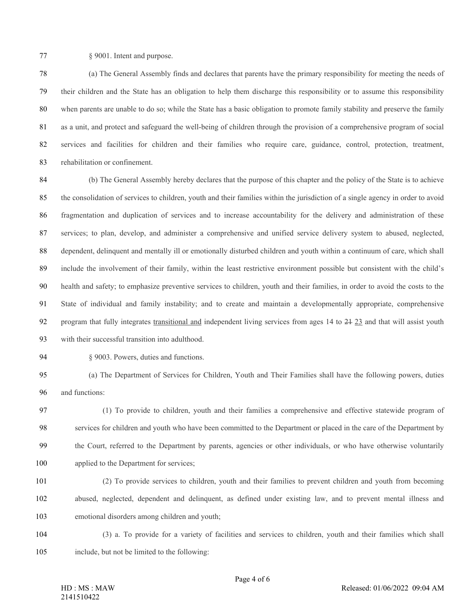§ 9001. Intent and purpose.

 (a) The General Assembly finds and declares that parents have the primary responsibility for meeting the needs of their children and the State has an obligation to help them discharge this responsibility or to assume this responsibility when parents are unable to do so; while the State has a basic obligation to promote family stability and preserve the family as a unit, and protect and safeguard the well-being of children through the provision of a comprehensive program of social services and facilities for children and their families who require care, guidance, control, protection, treatment, rehabilitation or confinement.

 (b) The General Assembly hereby declares that the purpose of this chapter and the policy of the State is to achieve the consolidation of services to children, youth and their families within the jurisdiction of a single agency in order to avoid fragmentation and duplication of services and to increase accountability for the delivery and administration of these services; to plan, develop, and administer a comprehensive and unified service delivery system to abused, neglected, dependent, delinquent and mentally ill or emotionally disturbed children and youth within a continuum of care, which shall include the involvement of their family, within the least restrictive environment possible but consistent with the child's health and safety; to emphasize preventive services to children, youth and their families, in order to avoid the costs to the State of individual and family instability; and to create and maintain a developmentally appropriate, comprehensive program that fully integrates transitional and independent living services from ages 14 to 21 23 and that will assist youth with their successful transition into adulthood.

§ 9003. Powers, duties and functions.

 (a) The Department of Services for Children, Youth and Their Families shall have the following powers, duties and functions:

 (1) To provide to children, youth and their families a comprehensive and effective statewide program of services for children and youth who have been committed to the Department or placed in the care of the Department by the Court, referred to the Department by parents, agencies or other individuals, or who have otherwise voluntarily applied to the Department for services;

- (2) To provide services to children, youth and their families to prevent children and youth from becoming abused, neglected, dependent and delinquent, as defined under existing law, and to prevent mental illness and emotional disorders among children and youth;
- (3) a. To provide for a variety of facilities and services to children, youth and their families which shall include, but not be limited to the following: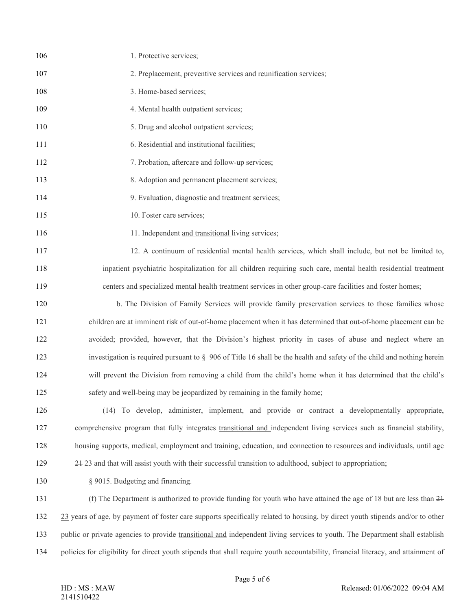| 106 | 1. Protective services;                                                                                                       |
|-----|-------------------------------------------------------------------------------------------------------------------------------|
| 107 | 2. Preplacement, preventive services and reunification services;                                                              |
| 108 | 3. Home-based services;                                                                                                       |
| 109 | 4. Mental health outpatient services;                                                                                         |
| 110 | 5. Drug and alcohol outpatient services;                                                                                      |
| 111 | 6. Residential and institutional facilities;                                                                                  |
| 112 | 7. Probation, aftercare and follow-up services;                                                                               |
| 113 | 8. Adoption and permanent placement services;                                                                                 |
| 114 | 9. Evaluation, diagnostic and treatment services;                                                                             |
| 115 | 10. Foster care services;                                                                                                     |
| 116 | 11. Independent and transitional living services;                                                                             |
| 117 | 12. A continuum of residential mental health services, which shall include, but not be limited to,                            |
| 118 | inpatient psychiatric hospitalization for all children requiring such care, mental health residential treatment               |
| 119 | centers and specialized mental health treatment services in other group-care facilities and foster homes;                     |
| 120 | b. The Division of Family Services will provide family preservation services to those families whose                          |
| 121 | children are at imminent risk of out-of-home placement when it has determined that out-of-home placement can be               |
| 122 | avoided; provided, however, that the Division's highest priority in cases of abuse and neglect where an                       |
| 123 | investigation is required pursuant to $\S$ 906 of Title 16 shall be the health and safety of the child and nothing herein     |
| 124 | will prevent the Division from removing a child from the child's home when it has determined that the child's                 |
| 125 | safety and well-being may be jeopardized by remaining in the family home;                                                     |
| 126 | (14) To develop, administer, implement, and provide or contract a developmentally appropriate,                                |
| 127 | comprehensive program that fully integrates transitional and independent living services such as financial stability,         |
| 128 | housing supports, medical, employment and training, education, and connection to resources and individuals, until age         |
| 129 | 24 23 and that will assist youth with their successful transition to adulthood, subject to appropriation;                     |
| 130 | § 9015. Budgeting and financing.                                                                                              |
| 131 | (f) The Department is authorized to provide funding for youth who have attained the age of 18 but are less than 24            |
| 132 | 23 years of age, by payment of foster care supports specifically related to housing, by direct youth stipends and/or to other |
| 133 | public or private agencies to provide transitional and independent living services to youth. The Department shall establish   |
|     |                                                                                                                               |